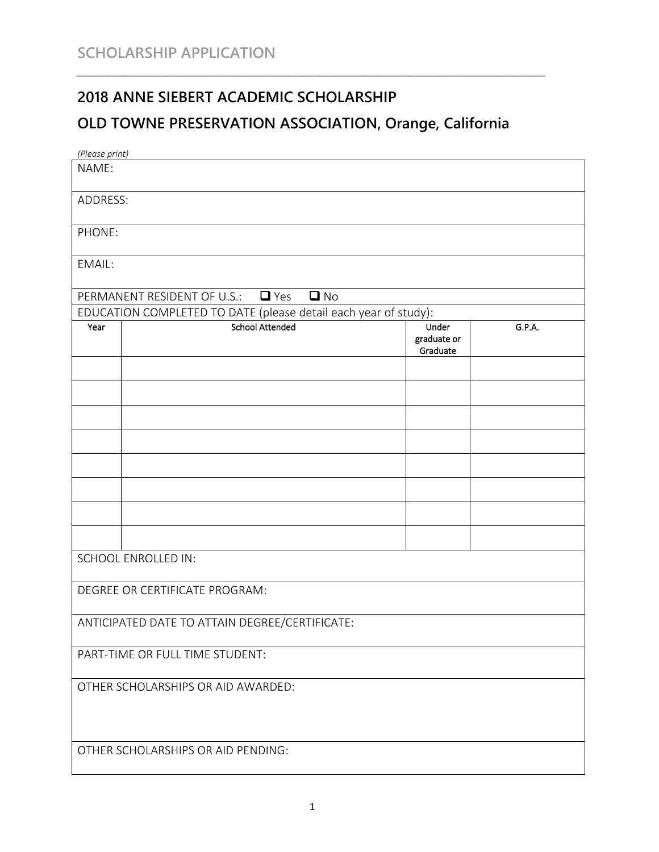## **2018 ANNE SIEBERT ACADEMIC SCHOLARSHIP**

## **OLD TOWNEPRESERVATION ASSOCIATION, Orange, California**

| (Please print)                                                  |                                                   |                         |        |
|-----------------------------------------------------------------|---------------------------------------------------|-------------------------|--------|
| NAME:                                                           |                                                   |                         |        |
|                                                                 |                                                   |                         |        |
| ADDRESS:                                                        |                                                   |                         |        |
|                                                                 |                                                   |                         |        |
| PHONE:                                                          |                                                   |                         |        |
| EMAIL:                                                          |                                                   |                         |        |
|                                                                 |                                                   |                         |        |
|                                                                 | $\square$ No<br>PERMANENT RESIDENT OF U.S.: ■ Yes |                         |        |
| EDUCATION COMPLETED TO DATE (please detail each year of study): |                                                   |                         |        |
| Year                                                            | <b>School Attended</b>                            | Under                   | G.P.A. |
|                                                                 |                                                   | graduate or<br>Graduate |        |
|                                                                 |                                                   |                         |        |
|                                                                 |                                                   |                         |        |
|                                                                 |                                                   |                         |        |
|                                                                 |                                                   |                         |        |
|                                                                 |                                                   |                         |        |
|                                                                 |                                                   |                         |        |
|                                                                 |                                                   |                         |        |
|                                                                 |                                                   |                         |        |
|                                                                 |                                                   |                         |        |
|                                                                 |                                                   |                         |        |
|                                                                 |                                                   |                         |        |
| <b>SCHOOL ENROLLED IN:</b>                                      |                                                   |                         |        |
|                                                                 |                                                   |                         |        |
| DEGREE OR CERTIFICATE PROGRAM:                                  |                                                   |                         |        |
| ANTICIPATED DATE TO ATTAIN DEGREE/CERTIFICATE:                  |                                                   |                         |        |
|                                                                 |                                                   |                         |        |
| PART-TIME OR FULL TIME STUDENT:                                 |                                                   |                         |        |
|                                                                 |                                                   |                         |        |
| OTHER SCHOLARSHIPS OR AID AWARDED:                              |                                                   |                         |        |
|                                                                 |                                                   |                         |        |
|                                                                 |                                                   |                         |        |
|                                                                 |                                                   |                         |        |
| OTHER SCHOLARSHIPS OR AID PENDING:                              |                                                   |                         |        |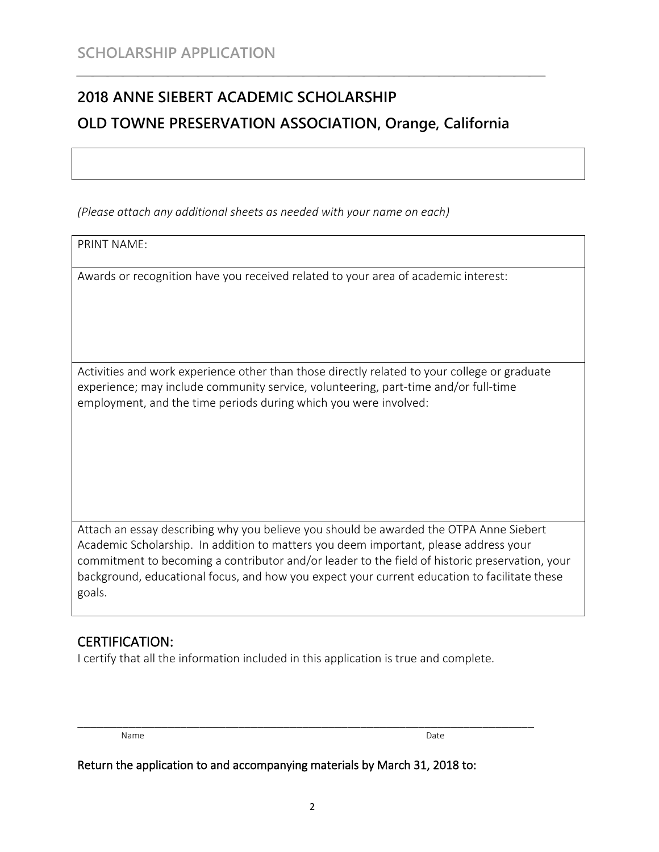# **2018 ANNE SIEBERT ACADEMIC SCHOLARSHIP OLD TOWNEPRESERVATION ASSOCIATION, Orange, California**

*(Please attach any additional sheets as needed with your name on each)*

PRINT NAME:

Awards or recognition have you received related to your area of academic interest:

Activities and work experience other than those directly related to your college or graduate experience; may include community service, volunteering, part-time and/or full-time employment, and the time periods during which you were involved:

Attach an essay describing why you believe you should be awarded the OTPA Anne Siebert Academic Scholarship. In addition to matters you deem important, please address your commitment to becoming a contributor and/or leader to the field of historic preservation, your background, educational focus, and how you expect your current education to facilitate these goals.

#### CERTIFICATION:

I certify that all the information included in this application is true and complete.

Name Date **Date** Date **Date** Date **Date** Date **Date** Date **Date** Date **Date** Date

\_\_\_\_\_\_\_\_\_\_\_\_\_\_\_\_\_\_\_\_\_\_\_\_\_\_\_\_\_\_\_\_\_\_\_\_\_\_\_\_\_\_\_\_\_\_\_\_\_\_\_\_\_\_\_\_\_\_\_\_\_\_\_\_\_\_\_\_\_\_\_

Return the application to and accompanying materials by March 31, 2018 to: